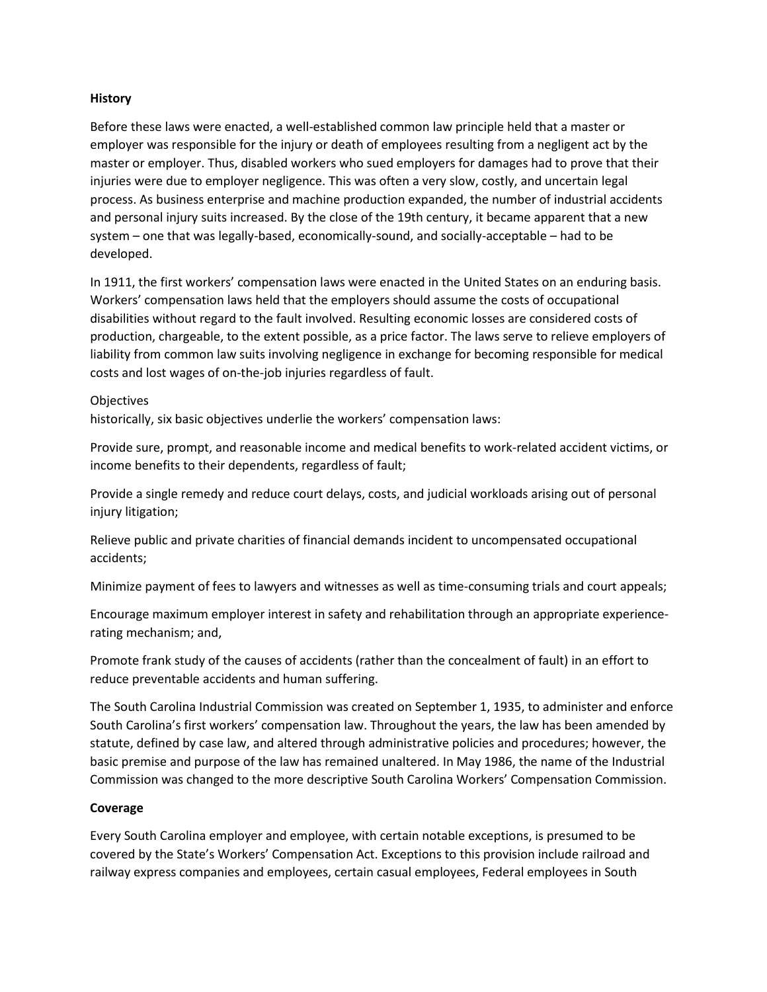## **History**

Before these laws were enacted, a well-established common law principle held that a master or employer was responsible for the injury or death of employees resulting from a negligent act by the master or employer. Thus, disabled workers who sued employers for damages had to prove that their injuries were due to employer negligence. This was often a very slow, costly, and uncertain legal process. As business enterprise and machine production expanded, the number of industrial accidents and personal injury suits increased. By the close of the 19th century, it became apparent that a new system – one that was legally-based, economically-sound, and socially-acceptable – had to be developed.

In 1911, the first workers' compensation laws were enacted in the United States on an enduring basis. Workers' compensation laws held that the employers should assume the costs of occupational disabilities without regard to the fault involved. Resulting economic losses are considered costs of production, chargeable, to the extent possible, as a price factor. The laws serve to relieve employers of liability from common law suits involving negligence in exchange for becoming responsible for medical costs and lost wages of on-the-job injuries regardless of fault.

## **Objectives**

historically, six basic objectives underlie the workers' compensation laws:

Provide sure, prompt, and reasonable income and medical benefits to work-related accident victims, or income benefits to their dependents, regardless of fault;

Provide a single remedy and reduce court delays, costs, and judicial workloads arising out of personal injury litigation;

Relieve public and private charities of financial demands incident to uncompensated occupational accidents;

Minimize payment of fees to lawyers and witnesses as well as time-consuming trials and court appeals;

Encourage maximum employer interest in safety and rehabilitation through an appropriate experiencerating mechanism; and,

Promote frank study of the causes of accidents (rather than the concealment of fault) in an effort to reduce preventable accidents and human suffering.

The South Carolina Industrial Commission was created on September 1, 1935, to administer and enforce South Carolina's first workers' compensation law. Throughout the years, the law has been amended by statute, defined by case law, and altered through administrative policies and procedures; however, the basic premise and purpose of the law has remained unaltered. In May 1986, the name of the Industrial Commission was changed to the more descriptive South Carolina Workers' Compensation Commission.

# **Coverage**

Every South Carolina employer and employee, with certain notable exceptions, is presumed to be covered by the State's Workers' Compensation Act. Exceptions to this provision include railroad and railway express companies and employees, certain casual employees, Federal employees in South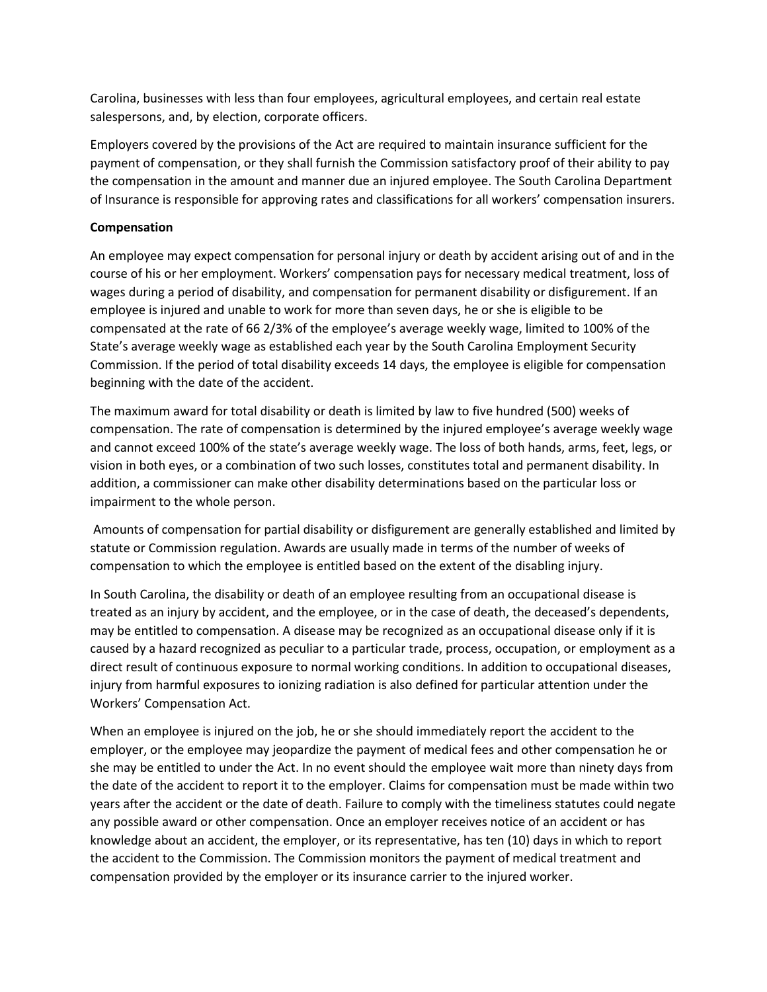Carolina, businesses with less than four employees, agricultural employees, and certain real estate salespersons, and, by election, corporate officers.

Employers covered by the provisions of the Act are required to maintain insurance sufficient for the payment of compensation, or they shall furnish the Commission satisfactory proof of their ability to pay the compensation in the amount and manner due an injured employee. The South Carolina Department of Insurance is responsible for approving rates and classifications for all workers' compensation insurers.

# **Compensation**

An employee may expect compensation for personal injury or death by accident arising out of and in the course of his or her employment. Workers' compensation pays for necessary medical treatment, loss of wages during a period of disability, and compensation for permanent disability or disfigurement. If an employee is injured and unable to work for more than seven days, he or she is eligible to be compensated at the rate of 66 2/3% of the employee's average weekly wage, limited to 100% of the State's average weekly wage as established each year by the South Carolina Employment Security Commission. If the period of total disability exceeds 14 days, the employee is eligible for compensation beginning with the date of the accident.

The maximum award for total disability or death is limited by law to five hundred (500) weeks of compensation. The rate of compensation is determined by the injured employee's average weekly wage and cannot exceed 100% of the state's average weekly wage. The loss of both hands, arms, feet, legs, or vision in both eyes, or a combination of two such losses, constitutes total and permanent disability. In addition, a commissioner can make other disability determinations based on the particular loss or impairment to the whole person.

Amounts of compensation for partial disability or disfigurement are generally established and limited by statute or Commission regulation. Awards are usually made in terms of the number of weeks of compensation to which the employee is entitled based on the extent of the disabling injury.

In South Carolina, the disability or death of an employee resulting from an occupational disease is treated as an injury by accident, and the employee, or in the case of death, the deceased's dependents, may be entitled to compensation. A disease may be recognized as an occupational disease only if it is caused by a hazard recognized as peculiar to a particular trade, process, occupation, or employment as a direct result of continuous exposure to normal working conditions. In addition to occupational diseases, injury from harmful exposures to ionizing radiation is also defined for particular attention under the Workers' Compensation Act.

When an employee is injured on the job, he or she should immediately report the accident to the employer, or the employee may jeopardize the payment of medical fees and other compensation he or she may be entitled to under the Act. In no event should the employee wait more than ninety days from the date of the accident to report it to the employer. Claims for compensation must be made within two years after the accident or the date of death. Failure to comply with the timeliness statutes could negate any possible award or other compensation. Once an employer receives notice of an accident or has knowledge about an accident, the employer, or its representative, has ten (10) days in which to report the accident to the Commission. The Commission monitors the payment of medical treatment and compensation provided by the employer or its insurance carrier to the injured worker.